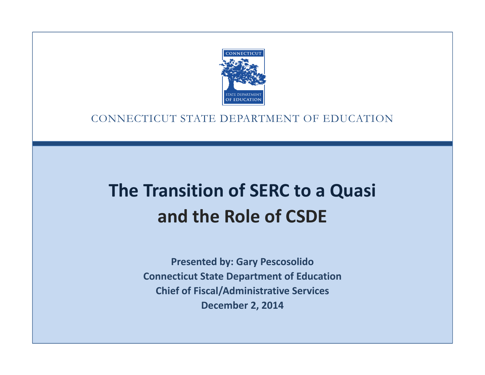

### CONNECTICUT STATE DEPARTMENT OF EDUCATION

# **The Transition of SERC to a Quasi and the Role of CSDE**

**Presented by: Gary Pescosolido Connecticut State Department of Education Chief of Fiscal/Administrative Services December 2, 2014**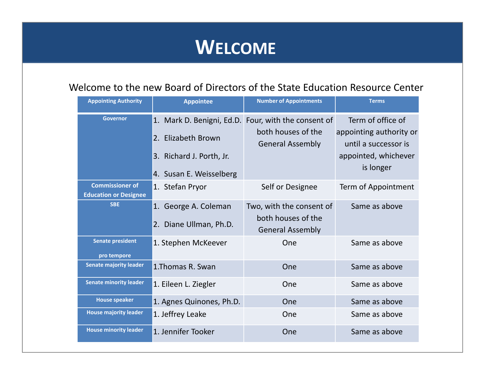# **WELCOME**

### Welcome to the new Board of Directors of the State Education Resource Center

| <b>Appointing Authority</b>                            | <b>Appointee</b>                                                          | <b>Number of Appointments</b>                                             | <b>Terms</b>                                                         |
|--------------------------------------------------------|---------------------------------------------------------------------------|---------------------------------------------------------------------------|----------------------------------------------------------------------|
| <b>Governor</b>                                        | 1. Mark D. Benigni, Ed.D. Four, with the consent of<br>2. Elizabeth Brown | both houses of the<br><b>General Assembly</b>                             | Term of office of<br>appointing authority or<br>until a successor is |
|                                                        | 3. Richard J. Porth, Jr.<br>4. Susan E. Weisselberg                       |                                                                           | appointed, whichever<br>is longer                                    |
| <b>Commissioner of</b><br><b>Education or Designee</b> | 1. Stefan Pryor                                                           | Self or Designee                                                          | Term of Appointment                                                  |
| <b>SBE</b>                                             | 1. George A. Coleman<br>2. Diane Ullman, Ph.D.                            | Two, with the consent of<br>both houses of the<br><b>General Assembly</b> | Same as above                                                        |
| <b>Senate president</b><br>pro tempore                 | 1. Stephen McKeever                                                       | One                                                                       | Same as above                                                        |
| <b>Senate majority leader</b>                          | 1. Thomas R. Swan                                                         | One                                                                       | Same as above                                                        |
| <b>Senate minority leader</b>                          | 1. Eileen L. Ziegler                                                      | One                                                                       | Same as above                                                        |
| <b>House speaker</b>                                   | 1. Agnes Quinones, Ph.D.                                                  | One                                                                       | Same as above                                                        |
| <b>House majority leader</b>                           | 1. Jeffrey Leake                                                          | One                                                                       | Same as above                                                        |
| <b>House minority leader</b>                           | 1. Jennifer Tooker                                                        | One                                                                       | Same as above                                                        |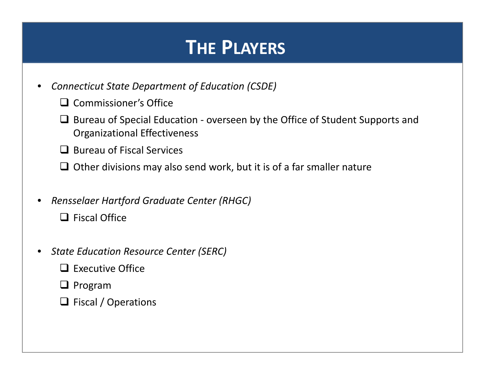# **THE PLAYERS**

- • *Connecticut State Department of Education (CSDE)*
	- □ Commissioner's Office
	- $\Box$  Bureau of Special Education overseen by the Office of Student Supports and Organizational Effectiveness
	- $\Box$  Bureau of Fiscal Services
	- $\Box$  Other divisions may also send work, but it is of a far smaller nature
- • *Rensselaer Hartford Graduate Center (RHGC)*
	- $\Box$  Fiscal Office
- • *State Education Resource Center (SERC)*
	- $\Box$  Executive Office
	- $\Box$  Program
	- $\Box$  Fiscal / Operations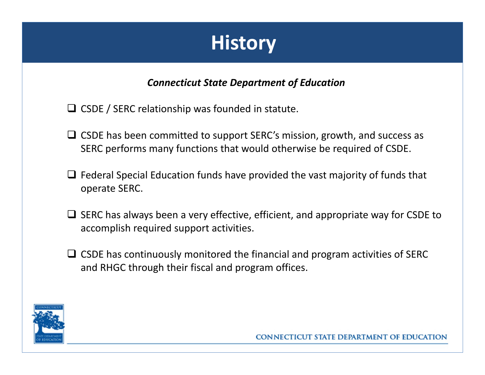# **History**

### *Connecticut State Department of Education*

- $\Box$  CSDE / SERC relationship was founded in statute.
- $\Box$  CSDE has been committed to support SERC's mission, growth, and success as SERC performs many functions that would otherwise be required of CSDE.
- $\Box$  Federal Special Education funds have provided the vast majority of funds that operate SERC.
- $\Box$  SERC has always been a very effective, efficient, and appropriate way for CSDE to accomplish required support activities.
- $\Box$  CSDE has continuously monitored the financial and program activities of SERC and RHGC through their fiscal and program offices.

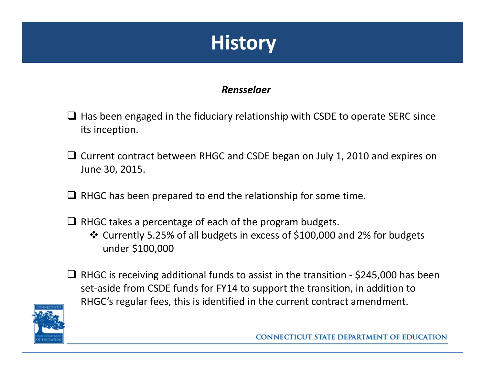# **History**

### *Rensselaer*

- $\Box$  Has been engaged in the fiduciary relationship with CSDE to operate SERC since its inception.
- Current contract between RHGC and CSDE began on July 1, 2010 and expires on June 30, 2015.
- $\Box$  RHGC has been prepared to end the relationship for some time.
- $\Box$  RHGC takes a percentage of each of the program budgets. Currently 5.25% of all budgets in excess of \$100,000 and 2% for budgets under \$100,000



■ RHGC is receiving additional funds to assist in the transition  $-$  \$245,000 has been set‐aside from CSDE funds for FY14 to support the transition, in addition to RHGC's regular fees, this is identified in the current contract amendment.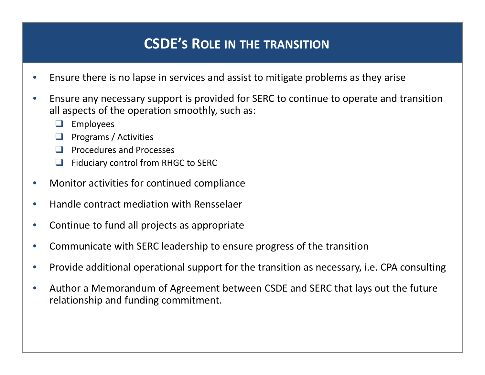## **CSDE'S ROLE IN THE TRANSITION**

- •Ensure there is no lapse in services and assist to mitigate problems as they arise
- $\bullet$  Ensure any necessary support is provided for SERC to continue to operate and transition all aspects of the operation smoothly, such as:
	- $\Box$ Employees
	- $\Box$ Programs / Activities
	- $\Box$  Procedures and Processes
	- $\Box$ Fiduciary control from RHGC to SERC
- $\bullet$ Monitor activities for continued compliance
- $\bullet$ **• Handle contract mediation with Rensselaer**
- $\bullet$ Continue to fund all projects as appropriate
- $\bullet$ Communicate with SERC leadership to ensure progress of the transition
- $\bullet$ • Provide additional operational support for the transition as necessary, i.e. CPA consulting
- $\bullet$  Author <sup>a</sup> Memorandum of Agreement between CSDE and SERC that lays out the future relationship and funding commitment.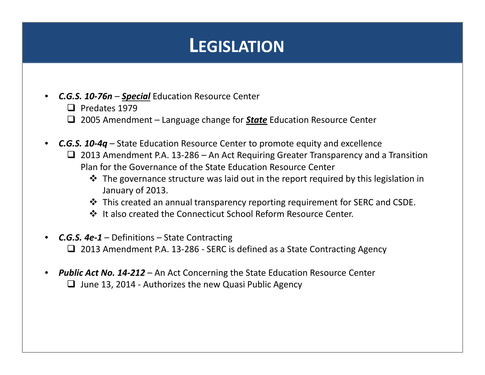# **LEGISLATION**

- • *C.G.S. 10‐76n* – *Special* Education Resource Center
	- $\Box$  Predates 1979
	- 2005 Amendment Language change for *State* Education Resource Center
- *C.G.S. 10‐4q* State Education Resource Center to promote equity and excellence 2013 Amendment P.A. 13‐286 – An Act Requiring Greater Transparency and <sup>a</sup> Transition Plan for the Governance of the State Education Resource Center
	- $\clubsuit$  The governance structure was laid out in the report required by this legislation in January of 2013.
	- This created an annual transparency reporting requirement for SERC and CSDE.
	- ❖ It also created the Connecticut School Reform Resource Center.
- *C.G.S. 4e‐1* Definitions State Contracting 2013 Amendment P.A. 13‐286 ‐ SERC is defined as <sup>a</sup> State Contracting Agency
- *Public Act No. 14‐212* An Act Concerning the State Education Resource Center  $\Box$  June 13, 2014 - Authorizes the new Quasi Public Agency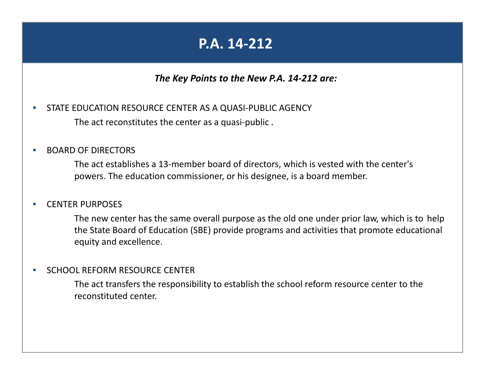## **P.A. 14‐212**

### *The Key Points to the New P.A. 14‐212 are:*

 $\bullet$  STATE EDUCATION RESOURCE CENTER AS A QUASI‐PUBLIC AGENCY The act reconstitutes the center as <sup>a</sup> quasi‐public .

#### $\bullet$ **• BOARD OF DIRECTORS**

The act establishes <sup>a</sup> 13‐member board of directors, which is vested with the center's powers. The education commissioner, or his designee, is <sup>a</sup> board member.

#### $\bullet$ **• CENTER PURPOSES**

The new center has the same overall purpose as the old one under prior law, which is to help the State Board of Education (SBE) provide programs and activities that promote educational equity and excellence.

#### •**• SCHOOL REFORM RESOURCE CENTER**

The act transfers the responsibility to establish the school reform resource center to the reconstituted center.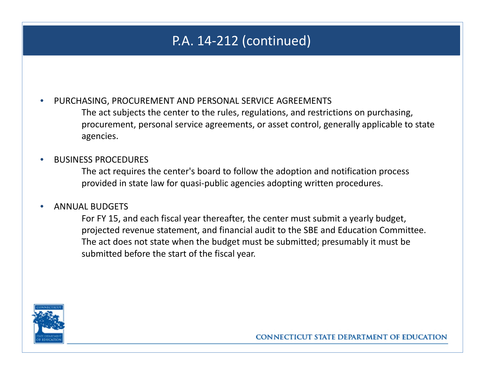## P.A. 14‐212 (continued)

•PURCHASING, PROCUREMENT AND PERSONAL SERVICE AGREEMENTS

> The act subjects the center to the rules, regulations, and restrictions on purchasing, procurement, personal service agreements, or asset control, generally applicable to state agencies.

#### •BUSINESS PROCEDURES

The act requires the center's board to follow the adoption and notification process provided in state law for quasi‐public agencies adopting written procedures.

#### •ANNUAL BUDGETS

For FY 15, and each fiscal year thereafter, the center must submit <sup>a</sup> yearly budget, projected revenue statement, and financial audit to the SBE and Education Committee. The act does not state when the budget must be submitted; presumably it must be submitted before the start of the fiscal year.

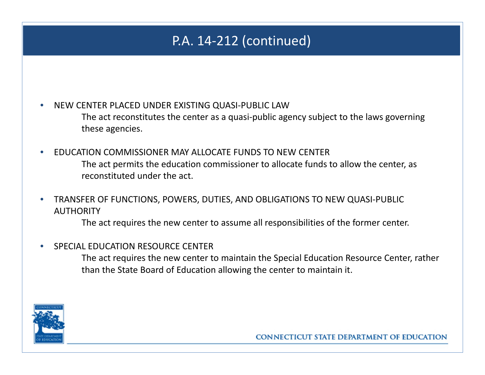## P.A. 14‐212 (continued)

•NEW CENTER PLACED UNDER EXISTING QUASI‐PUBLIC LAW

> The act reconstitutes the center as <sup>a</sup> quasi‐public agency subject to the laws governing these agencies.

- • EDUCATION COMMISSIONER MAY ALLOCATE FUNDS TO NEW CENTER The act permits the education commissioner to allocate funds to allow the center, as reconstituted under the act.
- $\bullet$  TRANSFER OF FUNCTIONS, POWERS, DUTIES, AND OBLIGATIONS TO NEW QUASI‐PUBLIC AUTHORITY

The act requires the new center to assume all responsibilities of the former center.

•SPECIAL EDUCATION RESOURCE CENTER

> The act requires the new center to maintain the Special Education Resource Center, rather than the State Board of Education allowing the center to maintain it.

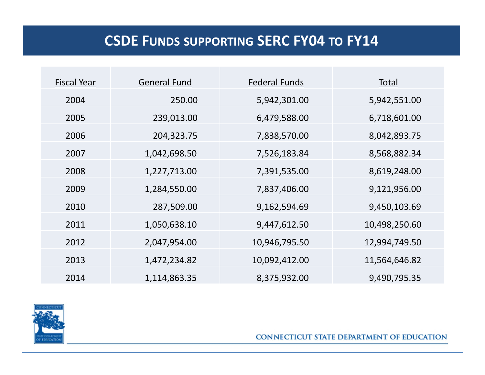## **CSDE FUNDS SUPPORTING SERC FY04 TO FY14**

| <b>Fiscal Year</b> | <b>General Fund</b> | <b>Federal Funds</b> | Total         |
|--------------------|---------------------|----------------------|---------------|
| 2004               | 250.00              | 5,942,301.00         | 5,942,551.00  |
| 2005               | 239,013.00          | 6,479,588.00         | 6,718,601.00  |
| 2006               | 204,323.75          | 7,838,570.00         | 8,042,893.75  |
| 2007               | 1,042,698.50        | 7,526,183.84         | 8,568,882.34  |
| 2008               | 1,227,713.00        | 7,391,535.00         | 8,619,248.00  |
| 2009               | 1,284,550.00        | 7,837,406.00         | 9,121,956.00  |
| 2010               | 287,509.00          | 9,162,594.69         | 9,450,103.69  |
| 2011               | 1,050,638.10        | 9,447,612.50         | 10,498,250.60 |
| 2012               | 2,047,954.00        | 10,946,795.50        | 12,994,749.50 |
| 2013               | 1,472,234.82        | 10,092,412.00        | 11,564,646.82 |
| 2014               | 1,114,863.35        | 8,375,932.00         | 9,490,795.35  |

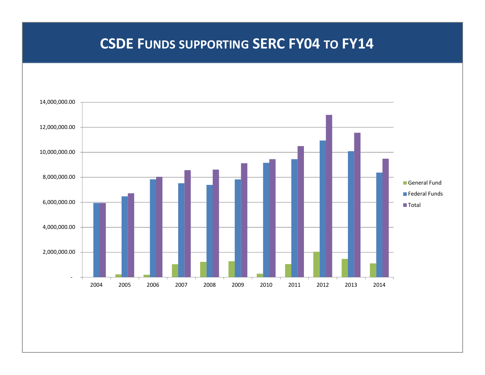### **CSDE FUNDS SUPPORTING SERC FY04 TO FY14**

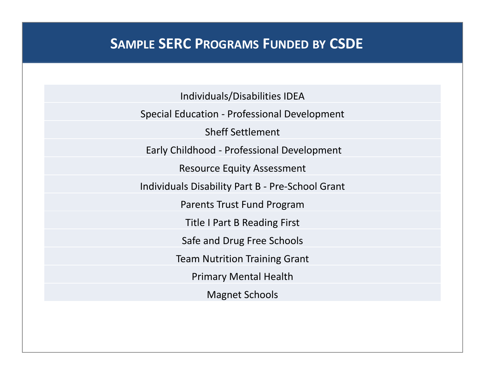### **SAMPLE SERC PROGRAMS FUNDED BY CSDE**

Individuals/Disabilities IDEA

Special Education ‐ Professional Development

Sheff Settlement

Early Childhood ‐ Professional Development

Resource Equity Assessment

Individuals Disability Part B ‐ Pre‐School Grant

Parents Trust Fund Program

Title I Part B Reading First

Safe and Drug Free Schools

Team Nutrition Training Grant

Primary Mental Health

Magnet Schools